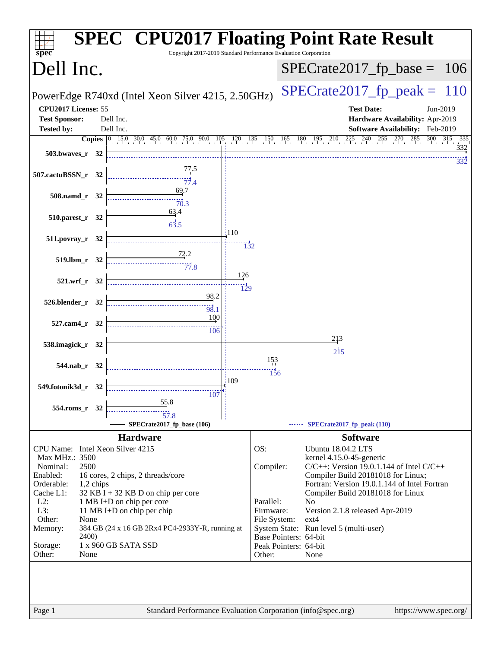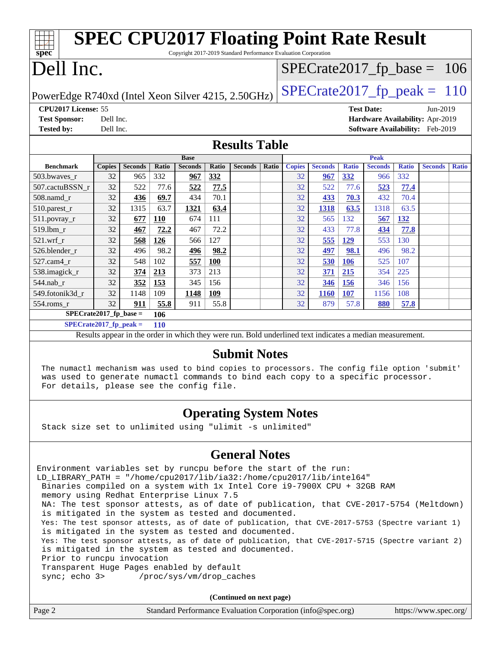| <b>SPEC CPU2017 Floating Point Rate Result</b><br>Copyright 2017-2019 Standard Performance Evaluation Corporation<br>spec <sup>®</sup> |                                         |                |            |                |              |                               |              |                                 |                |              |                |              |                                 |              |
|----------------------------------------------------------------------------------------------------------------------------------------|-----------------------------------------|----------------|------------|----------------|--------------|-------------------------------|--------------|---------------------------------|----------------|--------------|----------------|--------------|---------------------------------|--------------|
| Dell Inc.<br>$SPECrate2017_fp\_base = 106$                                                                                             |                                         |                |            |                |              |                               |              |                                 |                |              |                |              |                                 |              |
| $SPECTate2017$ _fp_peak = 110<br>PowerEdge R740xd (Intel Xeon Silver 4215, 2.50GHz)                                                    |                                         |                |            |                |              |                               |              |                                 |                |              |                |              |                                 |              |
|                                                                                                                                        | CPU <sub>2017</sub> License: 55         |                |            |                |              | <b>Test Date:</b><br>Jun-2019 |              |                                 |                |              |                |              |                                 |              |
| <b>Test Sponsor:</b>                                                                                                                   | Dell Inc.                               |                |            |                |              |                               |              | Hardware Availability: Apr-2019 |                |              |                |              |                                 |              |
| <b>Tested by:</b>                                                                                                                      | Dell Inc.                               |                |            |                |              |                               |              |                                 |                |              |                |              | Software Availability: Feb-2019 |              |
| <b>Results Table</b>                                                                                                                   |                                         |                |            |                |              |                               |              |                                 |                |              |                |              |                                 |              |
|                                                                                                                                        |                                         |                |            | <b>Base</b>    |              |                               |              |                                 |                |              | Peak           |              |                                 |              |
| <b>Benchmark</b>                                                                                                                       | <b>Copies</b>                           | <b>Seconds</b> | Ratio      | <b>Seconds</b> | <b>Ratio</b> | <b>Seconds</b>                | <b>Ratio</b> | <b>Copies</b>                   | <b>Seconds</b> | <b>Ratio</b> | <b>Seconds</b> | <b>Ratio</b> | <b>Seconds</b>                  | <b>Ratio</b> |
| 503.bwaves r                                                                                                                           | 32                                      | 965            | 332        | 967            | 332          |                               |              | 32                              | 967            | 332          | 966            | 332          |                                 |              |
| 507.cactuBSSN r                                                                                                                        | 32                                      | 522            | 77.6       | 522            | 77.5         |                               |              | 32                              | 522            | 77.6         | 523            | 77.4         |                                 |              |
| 508.namd_r                                                                                                                             | 32                                      | 436            | 69.7       | 434            | 70.1         |                               |              | 32                              | 433            | 70.3         | 432            | 70.4         |                                 |              |
| 510.parest_r                                                                                                                           | 32                                      | 1315           | 63.7       | 1321           | 63.4         |                               |              | 32                              | 1318           | 63.5         | 1318           | 63.5         |                                 |              |
| $511$ .povray r                                                                                                                        | 32                                      | 677            | <b>110</b> | 674            | 111          |                               |              | 32                              | 565            | 132          | 567            | <b>132</b>   |                                 |              |
| 519.lbm r                                                                                                                              | 32                                      | 467            | 72.2       | 467            | 72.2         |                               |              | 32                              | 433            | 77.8         | 434            | 77.8         |                                 |              |
| 521.wrf r                                                                                                                              | 32                                      | 568            | 126        | 566            | 127          |                               |              | 32                              | 555            | 129          | 553            | 130          |                                 |              |
| 526.blender r                                                                                                                          | 32                                      | 496            | 98.2       | 496            | 98.2         |                               |              | 32                              | 497            | 98.1         | 496            | 98.2         |                                 |              |
| 527.cam4 r                                                                                                                             | 32                                      | 548            | 102        | 557            | 100          |                               |              | 32                              | 530            | <b>106</b>   | 525            | 107          |                                 |              |
| 538.imagick_r                                                                                                                          | 32                                      | 374            | 213        | 373            | 213          |                               |              | 32                              | 371            | 215          | 354            | 225          |                                 |              |
| 544.nab r                                                                                                                              | 32                                      | 352            | 153        | 345            | 156          |                               |              | 32                              | 346            | <b>156</b>   | 346            | 156          |                                 |              |
| 549.fotonik3d r                                                                                                                        | 32                                      | 1148           | 109        | 1148           | 109          |                               |              | 32                              | <b>1160</b>    | 107          | 1156           | 108          |                                 |              |
| 554.roms_r                                                                                                                             | 32                                      | 911            | 55.8       | 911            | 55.8         |                               |              | 32                              | 879            | 57.8         | 880            | 57.8         |                                 |              |
| $SPECrate2017_fp\_base =$                                                                                                              |                                         |                | 106        |                |              |                               |              |                                 |                |              |                |              |                                 |              |
|                                                                                                                                        | $SPECrate2017_fp\_peak =$<br><b>110</b> |                |            |                |              |                               |              |                                 |                |              |                |              |                                 |              |

Results appear in the [order in which they were run.](http://www.spec.org/auto/cpu2017/Docs/result-fields.html#RunOrder) Bold underlined text [indicates a median measurement.](http://www.spec.org/auto/cpu2017/Docs/result-fields.html#Median)

#### **[Submit Notes](http://www.spec.org/auto/cpu2017/Docs/result-fields.html#SubmitNotes)**

 The numactl mechanism was used to bind copies to processors. The config file option 'submit' was used to generate numactl commands to bind each copy to a specific processor. For details, please see the config file.

### **[Operating System Notes](http://www.spec.org/auto/cpu2017/Docs/result-fields.html#OperatingSystemNotes)**

Stack size set to unlimited using "ulimit -s unlimited"

#### **[General Notes](http://www.spec.org/auto/cpu2017/Docs/result-fields.html#GeneralNotes)**

Environment variables set by runcpu before the start of the run: LD\_LIBRARY\_PATH = "/home/cpu2017/lib/ia32:/home/cpu2017/lib/intel64" Binaries compiled on a system with 1x Intel Core i9-7900X CPU + 32GB RAM memory using Redhat Enterprise Linux 7.5 NA: The test sponsor attests, as of date of publication, that CVE-2017-5754 (Meltdown) is mitigated in the system as tested and documented. Yes: The test sponsor attests, as of date of publication, that CVE-2017-5753 (Spectre variant 1) is mitigated in the system as tested and documented. Yes: The test sponsor attests, as of date of publication, that CVE-2017-5715 (Spectre variant 2) is mitigated in the system as tested and documented. Prior to runcpu invocation Transparent Huge Pages enabled by default sync; echo 3> /proc/sys/vm/drop\_caches

**(Continued on next page)**

|  | Page 2 | Standard Performance Evaluation Corporation (info@spec.org) | https://www.spec.org/ $\vert$ |
|--|--------|-------------------------------------------------------------|-------------------------------|
|--|--------|-------------------------------------------------------------|-------------------------------|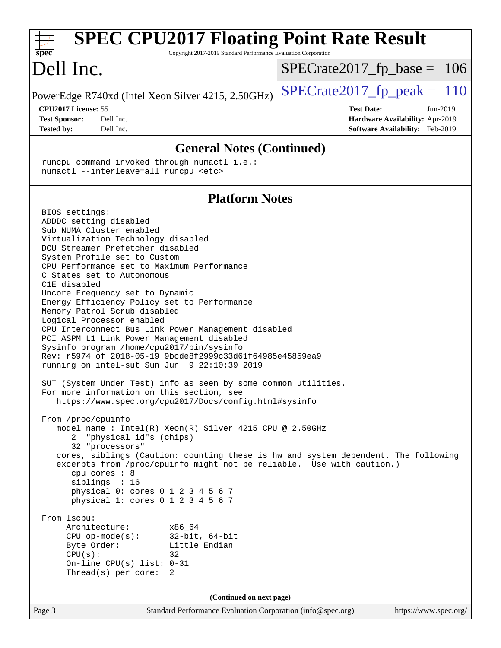| <b>SPEC CPU2017 Floating Point Rate Result</b><br>spec <sup>®</sup>                                                                                                                                                                                                                                                                                                                                                                                                                                                                                                                                                                                                                                                                                                                                                                                                                                                                                                                                                                                                                                                                                                                                                                                                             | Copyright 2017-2019 Standard Performance Evaluation Corporation |                               |                                                                                |
|---------------------------------------------------------------------------------------------------------------------------------------------------------------------------------------------------------------------------------------------------------------------------------------------------------------------------------------------------------------------------------------------------------------------------------------------------------------------------------------------------------------------------------------------------------------------------------------------------------------------------------------------------------------------------------------------------------------------------------------------------------------------------------------------------------------------------------------------------------------------------------------------------------------------------------------------------------------------------------------------------------------------------------------------------------------------------------------------------------------------------------------------------------------------------------------------------------------------------------------------------------------------------------|-----------------------------------------------------------------|-------------------------------|--------------------------------------------------------------------------------|
| Dell Inc.                                                                                                                                                                                                                                                                                                                                                                                                                                                                                                                                                                                                                                                                                                                                                                                                                                                                                                                                                                                                                                                                                                                                                                                                                                                                       |                                                                 | $SPECrate2017_fp\_base = 106$ |                                                                                |
| PowerEdge R740xd (Intel Xeon Silver 4215, 2.50GHz)                                                                                                                                                                                                                                                                                                                                                                                                                                                                                                                                                                                                                                                                                                                                                                                                                                                                                                                                                                                                                                                                                                                                                                                                                              |                                                                 | $SPECrate2017fp peak = 110$   |                                                                                |
| CPU2017 License: 55<br><b>Test Sponsor:</b><br>Dell Inc.<br><b>Tested by:</b><br>Dell Inc.                                                                                                                                                                                                                                                                                                                                                                                                                                                                                                                                                                                                                                                                                                                                                                                                                                                                                                                                                                                                                                                                                                                                                                                      |                                                                 | <b>Test Date:</b>             | Jun-2019<br>Hardware Availability: Apr-2019<br>Software Availability: Feb-2019 |
|                                                                                                                                                                                                                                                                                                                                                                                                                                                                                                                                                                                                                                                                                                                                                                                                                                                                                                                                                                                                                                                                                                                                                                                                                                                                                 | <b>General Notes (Continued)</b>                                |                               |                                                                                |
| runcpu command invoked through numactl i.e.:<br>numactl --interleave=all runcpu <etc></etc>                                                                                                                                                                                                                                                                                                                                                                                                                                                                                                                                                                                                                                                                                                                                                                                                                                                                                                                                                                                                                                                                                                                                                                                     |                                                                 |                               |                                                                                |
|                                                                                                                                                                                                                                                                                                                                                                                                                                                                                                                                                                                                                                                                                                                                                                                                                                                                                                                                                                                                                                                                                                                                                                                                                                                                                 | <b>Platform Notes</b>                                           |                               |                                                                                |
| BIOS settings:<br>ADDDC setting disabled<br>Sub NUMA Cluster enabled<br>Virtualization Technology disabled<br>DCU Streamer Prefetcher disabled<br>System Profile set to Custom<br>CPU Performance set to Maximum Performance<br>C States set to Autonomous<br>C1E disabled<br>Uncore Frequency set to Dynamic<br>Energy Efficiency Policy set to Performance<br>Memory Patrol Scrub disabled<br>Logical Processor enabled<br>CPU Interconnect Bus Link Power Management disabled<br>PCI ASPM L1 Link Power Management disabled<br>Sysinfo program /home/cpu2017/bin/sysinfo<br>Rev: r5974 of 2018-05-19 9bcde8f2999c33d61f64985e45859ea9<br>running on intel-sut Sun Jun 9 22:10:39 2019<br>SUT (System Under Test) info as seen by some common utilities.<br>For more information on this section, see<br>https://www.spec.org/cpu2017/Docs/config.html#sysinfo<br>From /proc/cpuinfo<br>model name: $Intel(R)$ Xeon(R) Silver 4215 CPU @ 2.50GHz<br>"physical id"s (chips)<br>2<br>32 "processors"<br>cores, siblings (Caution: counting these is hw and system dependent. The following<br>excerpts from /proc/cpuinfo might not be reliable. Use with caution.)<br>cpu cores : 8<br>siblings : 16<br>physical 0: cores 0 1 2 3 4 5 6 7<br>physical 1: cores 0 1 2 3 4 5 6 7 |                                                                 |                               |                                                                                |
| From lscpu:<br>Architecture:<br>x86_64<br>CPU $op-mode(s):$ 32-bit, 64-bit<br>Byte Order:<br>CPU(s):<br>32<br>On-line CPU(s) list: $0-31$<br>Thread(s) per core:<br>2                                                                                                                                                                                                                                                                                                                                                                                                                                                                                                                                                                                                                                                                                                                                                                                                                                                                                                                                                                                                                                                                                                           | Little Endian                                                   |                               |                                                                                |
|                                                                                                                                                                                                                                                                                                                                                                                                                                                                                                                                                                                                                                                                                                                                                                                                                                                                                                                                                                                                                                                                                                                                                                                                                                                                                 | (Continued on next page)                                        |                               |                                                                                |
| Page 3                                                                                                                                                                                                                                                                                                                                                                                                                                                                                                                                                                                                                                                                                                                                                                                                                                                                                                                                                                                                                                                                                                                                                                                                                                                                          | Standard Performance Evaluation Corporation (info@spec.org)     |                               | https://www.spec.org/                                                          |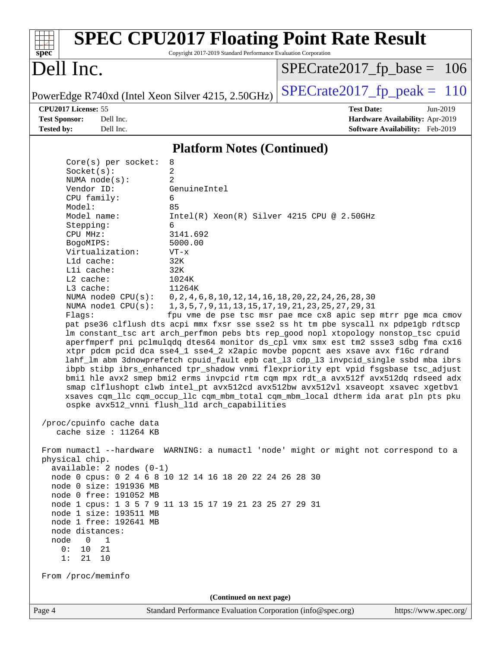| $spec^*$                                                                                                                                                                                                                                                                                                                                                                                                                                                                               | <b>SPEC CPU2017 Floating Point Rate Result</b><br>Copyright 2017-2019 Standard Performance Evaluation Corporation                                                                                                                                                                                                                                                                                                                                                                                                                                                                                                                                                                                                                                                                                                                                                                                                                                                                                                                                                                                                                                                                                                 |                               |                                                                                |  |  |
|----------------------------------------------------------------------------------------------------------------------------------------------------------------------------------------------------------------------------------------------------------------------------------------------------------------------------------------------------------------------------------------------------------------------------------------------------------------------------------------|-------------------------------------------------------------------------------------------------------------------------------------------------------------------------------------------------------------------------------------------------------------------------------------------------------------------------------------------------------------------------------------------------------------------------------------------------------------------------------------------------------------------------------------------------------------------------------------------------------------------------------------------------------------------------------------------------------------------------------------------------------------------------------------------------------------------------------------------------------------------------------------------------------------------------------------------------------------------------------------------------------------------------------------------------------------------------------------------------------------------------------------------------------------------------------------------------------------------|-------------------------------|--------------------------------------------------------------------------------|--|--|
| Dell Inc.                                                                                                                                                                                                                                                                                                                                                                                                                                                                              |                                                                                                                                                                                                                                                                                                                                                                                                                                                                                                                                                                                                                                                                                                                                                                                                                                                                                                                                                                                                                                                                                                                                                                                                                   | $SPECTate2017_fp\_base = 106$ |                                                                                |  |  |
| PowerEdge R740xd (Intel Xeon Silver 4215, 2.50GHz)                                                                                                                                                                                                                                                                                                                                                                                                                                     |                                                                                                                                                                                                                                                                                                                                                                                                                                                                                                                                                                                                                                                                                                                                                                                                                                                                                                                                                                                                                                                                                                                                                                                                                   | $SPECrate2017_fp\_peak = 110$ |                                                                                |  |  |
| CPU2017 License: 55<br><b>Test Sponsor:</b><br>Dell Inc.<br>Dell Inc.<br><b>Tested by:</b>                                                                                                                                                                                                                                                                                                                                                                                             |                                                                                                                                                                                                                                                                                                                                                                                                                                                                                                                                                                                                                                                                                                                                                                                                                                                                                                                                                                                                                                                                                                                                                                                                                   | <b>Test Date:</b>             | Jun-2019<br>Hardware Availability: Apr-2019<br>Software Availability: Feb-2019 |  |  |
|                                                                                                                                                                                                                                                                                                                                                                                                                                                                                        |                                                                                                                                                                                                                                                                                                                                                                                                                                                                                                                                                                                                                                                                                                                                                                                                                                                                                                                                                                                                                                                                                                                                                                                                                   |                               |                                                                                |  |  |
|                                                                                                                                                                                                                                                                                                                                                                                                                                                                                        | <b>Platform Notes (Continued)</b>                                                                                                                                                                                                                                                                                                                                                                                                                                                                                                                                                                                                                                                                                                                                                                                                                                                                                                                                                                                                                                                                                                                                                                                 |                               |                                                                                |  |  |
| $Core(s)$ per socket:<br>Socket(s):<br>NUMA $node(s):$<br>Vendor ID:<br>CPU family:<br>Model:<br>Model name:<br>Stepping:<br>CPU MHz:<br>BogoMIPS:<br>Virtualization:<br>Lld cache:<br>Lli cache:<br>L2 cache:<br>$L3$ cache:<br>NUMA $node0$ $CPU(s):$<br>NUMA nodel $CPU(s):$<br>Flaqs:<br>/proc/cpuinfo cache data<br>cache size : 11264 KB<br>From numactl --hardware WARNING: a numactl 'node' might or might not correspond to a<br>physical chip.<br>$available: 2 nodes (0-1)$ | 8<br>2<br>2<br>GenuineIntel<br>6<br>85<br>$Intel(R) Xeon(R) Silver 4215 CPU @ 2.50GHz$<br>6<br>3141.692<br>5000.00<br>$VT - x$<br>32K<br>32K<br>1024K<br>11264K<br>0, 2, 4, 6, 8, 10, 12, 14, 16, 18, 20, 22, 24, 26, 28, 30<br>1, 3, 5, 7, 9, 11, 13, 15, 17, 19, 21, 23, 25, 27, 29, 31<br>fpu vme de pse tsc msr pae mce cx8 apic sep mtrr pge mca cmov<br>pat pse36 clflush dts acpi mmx fxsr sse sse2 ss ht tm pbe syscall nx pdpelgb rdtscp<br>lm constant_tsc art arch_perfmon pebs bts rep_good nopl xtopology nonstop_tsc cpuid<br>aperfmperf pni pclmulqdq dtes64 monitor ds_cpl vmx smx est tm2 ssse3 sdbg fma cx16<br>xtpr pdcm pcid dca sse4_1 sse4_2 x2apic movbe popcnt aes xsave avx f16c rdrand<br>lahf_lm abm 3dnowprefetch cpuid_fault epb cat_13 cdp_13 invpcid_single ssbd mba ibrs<br>ibpb stibp ibrs_enhanced tpr_shadow vnmi flexpriority ept vpid fsgsbase tsc_adjust<br>bmil hle avx2 smep bmi2 erms invpcid rtm cqm mpx rdt_a avx512f avx512dq rdseed adx<br>smap clflushopt clwb intel_pt avx512cd avx512bw avx512vl xsaveopt xsavec xgetbvl<br>xsaves cqm_llc cqm_occup_llc cqm_mbm_total cqm_mbm_local dtherm ida arat pln pts pku<br>ospke avx512_vnni flush_l1d arch_capabilities |                               |                                                                                |  |  |
| node 0 cpus: 0 2 4 6 8 10 12 14 16 18 20 22 24 26 28 30<br>node 0 size: 191936 MB<br>node 0 free: 191052 MB<br>node 1 cpus: 1 3 5 7 9 11 13 15 17 19 21 23 25 27 29 31<br>node 1 size: 193511 MB<br>node 1 free: 192641 MB                                                                                                                                                                                                                                                             |                                                                                                                                                                                                                                                                                                                                                                                                                                                                                                                                                                                                                                                                                                                                                                                                                                                                                                                                                                                                                                                                                                                                                                                                                   |                               |                                                                                |  |  |
| node distances:<br>node<br>$\overline{\phantom{0}}$<br>1<br>0 :<br>10<br>21<br>21 10<br>1:<br>From /proc/meminfo                                                                                                                                                                                                                                                                                                                                                                       |                                                                                                                                                                                                                                                                                                                                                                                                                                                                                                                                                                                                                                                                                                                                                                                                                                                                                                                                                                                                                                                                                                                                                                                                                   |                               |                                                                                |  |  |
|                                                                                                                                                                                                                                                                                                                                                                                                                                                                                        |                                                                                                                                                                                                                                                                                                                                                                                                                                                                                                                                                                                                                                                                                                                                                                                                                                                                                                                                                                                                                                                                                                                                                                                                                   |                               |                                                                                |  |  |
| Page 4                                                                                                                                                                                                                                                                                                                                                                                                                                                                                 | (Continued on next page)<br>Standard Performance Evaluation Corporation (info@spec.org)                                                                                                                                                                                                                                                                                                                                                                                                                                                                                                                                                                                                                                                                                                                                                                                                                                                                                                                                                                                                                                                                                                                           |                               | https://www.spec.org/                                                          |  |  |
|                                                                                                                                                                                                                                                                                                                                                                                                                                                                                        |                                                                                                                                                                                                                                                                                                                                                                                                                                                                                                                                                                                                                                                                                                                                                                                                                                                                                                                                                                                                                                                                                                                                                                                                                   |                               |                                                                                |  |  |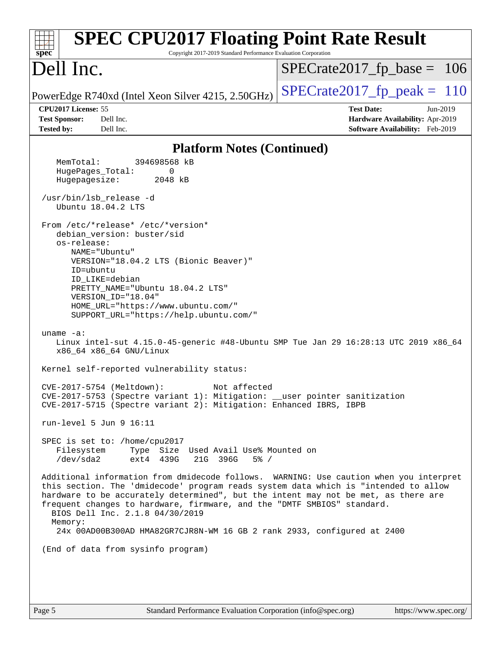| <b>SPEC CPU2017 Floating Point Rate Result</b><br>Copyright 2017-2019 Standard Performance Evaluation Corporation<br>$spec^*$                                                                                                                                                                                                                                                                                                                                                                       |                                                                  |  |  |  |
|-----------------------------------------------------------------------------------------------------------------------------------------------------------------------------------------------------------------------------------------------------------------------------------------------------------------------------------------------------------------------------------------------------------------------------------------------------------------------------------------------------|------------------------------------------------------------------|--|--|--|
| Dell Inc.                                                                                                                                                                                                                                                                                                                                                                                                                                                                                           | $SPECrate2017_fp\_base = 106$                                    |  |  |  |
| PowerEdge R740xd (Intel Xeon Silver 4215, 2.50GHz)                                                                                                                                                                                                                                                                                                                                                                                                                                                  | $SPECrate2017fp peak = 110$                                      |  |  |  |
| CPU2017 License: 55<br>Dell Inc.<br><b>Test Sponsor:</b>                                                                                                                                                                                                                                                                                                                                                                                                                                            | <b>Test Date:</b><br>Jun-2019<br>Hardware Availability: Apr-2019 |  |  |  |
| Dell Inc.<br><b>Tested by:</b>                                                                                                                                                                                                                                                                                                                                                                                                                                                                      | Software Availability: Feb-2019                                  |  |  |  |
| <b>Platform Notes (Continued)</b>                                                                                                                                                                                                                                                                                                                                                                                                                                                                   |                                                                  |  |  |  |
| 394698568 kB<br>MemTotal:                                                                                                                                                                                                                                                                                                                                                                                                                                                                           |                                                                  |  |  |  |
| HugePages_Total:<br>0<br>Hugepagesize:<br>2048 kB                                                                                                                                                                                                                                                                                                                                                                                                                                                   |                                                                  |  |  |  |
| /usr/bin/lsb_release -d<br>Ubuntu 18.04.2 LTS                                                                                                                                                                                                                                                                                                                                                                                                                                                       |                                                                  |  |  |  |
| From /etc/*release* /etc/*version*<br>debian_version: buster/sid<br>os-release:<br>NAME="Ubuntu"<br>VERSION="18.04.2 LTS (Bionic Beaver)"<br>ID=ubuntu<br>ID LIKE=debian<br>PRETTY_NAME="Ubuntu 18.04.2 LTS"<br>VERSION_ID="18.04"<br>HOME_URL="https://www.ubuntu.com/"<br>SUPPORT_URL="https://help.ubuntu.com/"<br>uname $-a$ :<br>Linux intel-sut 4.15.0-45-generic #48-Ubuntu SMP Tue Jan 29 16:28:13 UTC 2019 x86_64<br>x86_64 x86_64 GNU/Linux<br>Kernel self-reported vulnerability status: |                                                                  |  |  |  |
| CVE-2017-5754 (Meltdown):<br>Not affected<br>CVE-2017-5753 (Spectre variant 1): Mitigation: __user pointer sanitization<br>CVE-2017-5715 (Spectre variant 2): Mitigation: Enhanced IBRS, IBPB                                                                                                                                                                                                                                                                                                       |                                                                  |  |  |  |
| run-level 5 Jun 9 $16:11$                                                                                                                                                                                                                                                                                                                                                                                                                                                                           |                                                                  |  |  |  |
| SPEC is set to: /home/cpu2017<br>Type Size Used Avail Use% Mounted on<br>Filesystem<br>/dev/sda2<br>ext4 439G<br>21G 396G<br>$5\%$ /                                                                                                                                                                                                                                                                                                                                                                |                                                                  |  |  |  |
| Additional information from dmidecode follows. WARNING: Use caution when you interpret<br>this section. The 'dmidecode' program reads system data which is "intended to allow<br>hardware to be accurately determined", but the intent may not be met, as there are<br>frequent changes to hardware, firmware, and the "DMTF SMBIOS" standard.<br>BIOS Dell Inc. 2.1.8 04/30/2019<br>Memory:<br>24x 00AD00B300AD HMA82GR7CJR8N-WM 16 GB 2 rank 2933, configured at 2400                             |                                                                  |  |  |  |
| (End of data from sysinfo program)                                                                                                                                                                                                                                                                                                                                                                                                                                                                  |                                                                  |  |  |  |
|                                                                                                                                                                                                                                                                                                                                                                                                                                                                                                     |                                                                  |  |  |  |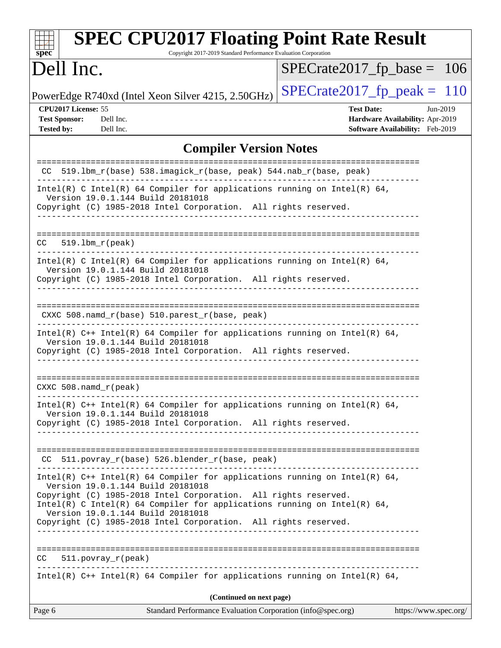| <b>SPEC CPU2017 Floating Point Rate Result</b><br>Copyright 2017-2019 Standard Performance Evaluation Corporation<br>$spec^*$                                                                                                                                                                         |                                                                                                       |  |  |  |  |
|-------------------------------------------------------------------------------------------------------------------------------------------------------------------------------------------------------------------------------------------------------------------------------------------------------|-------------------------------------------------------------------------------------------------------|--|--|--|--|
| Dell Inc.                                                                                                                                                                                                                                                                                             | $SPECrate2017_fp\_base =$<br><sup>106</sup>                                                           |  |  |  |  |
| PowerEdge R740xd (Intel Xeon Silver 4215, 2.50GHz)                                                                                                                                                                                                                                                    | $SPECrate2017_fp\_peak = 110$                                                                         |  |  |  |  |
| CPU2017 License: 55<br><b>Test Sponsor:</b><br>Dell Inc.<br><b>Tested by:</b><br>Dell Inc.                                                                                                                                                                                                            | <b>Test Date:</b><br>$Jun-2019$<br>Hardware Availability: Apr-2019<br>Software Availability: Feb-2019 |  |  |  |  |
| <b>Compiler Version Notes</b>                                                                                                                                                                                                                                                                         |                                                                                                       |  |  |  |  |
| CC 519.1bm_r(base) 538.imagick_r(base, peak) 544.nab_r(base, peak)                                                                                                                                                                                                                                    | =====================                                                                                 |  |  |  |  |
| Intel(R) C Intel(R) 64 Compiler for applications running on Intel(R) 64,<br>Version 19.0.1.144 Build 20181018<br>Copyright (C) 1985-2018 Intel Corporation. All rights reserved.                                                                                                                      |                                                                                                       |  |  |  |  |
| $519.1bm_r(peak)$<br>CC                                                                                                                                                                                                                                                                               |                                                                                                       |  |  |  |  |
| Intel(R) C Intel(R) 64 Compiler for applications running on Intel(R) 64,<br>Version 19.0.1.144 Build 20181018<br>Copyright (C) 1985-2018 Intel Corporation. All rights reserved.                                                                                                                      |                                                                                                       |  |  |  |  |
| $CXXC 508.namd_r(base) 510.parest_r(base, peak)$                                                                                                                                                                                                                                                      |                                                                                                       |  |  |  |  |
| Intel(R) $C++$ Intel(R) 64 Compiler for applications running on Intel(R) 64,<br>Version 19.0.1.144 Build 20181018<br>Copyright (C) 1985-2018 Intel Corporation. All rights reserved.                                                                                                                  |                                                                                                       |  |  |  |  |
| CXXC $508.namd_r(peak)$                                                                                                                                                                                                                                                                               |                                                                                                       |  |  |  |  |
| Intel(R) $C++$ Intel(R) 64 Compiler for applications running on Intel(R) 64,<br>Version 19.0.1.144 Build 20181018<br>Copyright (C) 1985-2018 Intel Corporation. All rights reserved.<br>-----------------------------                                                                                 |                                                                                                       |  |  |  |  |
| CC 511.povray_r(base) 526.blender_r(base, peak)<br>-------------------------                                                                                                                                                                                                                          |                                                                                                       |  |  |  |  |
| Intel(R) $C++$ Intel(R) 64 Compiler for applications running on Intel(R) 64,<br>Version 19.0.1.144 Build 20181018<br>Copyright (C) 1985-2018 Intel Corporation. All rights reserved.<br>Intel(R) C Intel(R) 64 Compiler for applications running on Intel(R) 64,<br>Version 19.0.1.144 Build 20181018 |                                                                                                       |  |  |  |  |
| Copyright (C) 1985-2018 Intel Corporation. All rights reserved.                                                                                                                                                                                                                                       |                                                                                                       |  |  |  |  |
| $CC = 511. povray_r (peak)$                                                                                                                                                                                                                                                                           |                                                                                                       |  |  |  |  |
| Intel(R) $C++$ Intel(R) 64 Compiler for applications running on Intel(R) 64,                                                                                                                                                                                                                          |                                                                                                       |  |  |  |  |
| (Continued on next page)<br>Standard Performance Evaluation Corporation (info@spec.org)                                                                                                                                                                                                               | https://www.spec.org/                                                                                 |  |  |  |  |
| Page 6                                                                                                                                                                                                                                                                                                |                                                                                                       |  |  |  |  |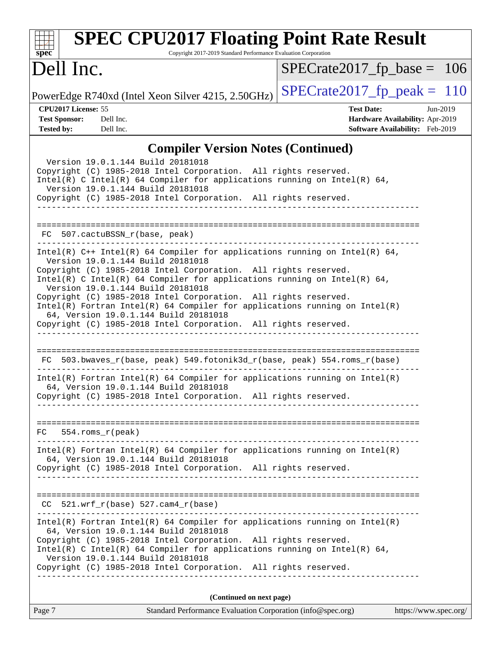| <b>SPEC CPU2017 Floating Point Rate Result</b><br>Copyright 2017-2019 Standard Performance Evaluation Corporation<br>$spec^*$                                                                                                                                                                                                                                                                                                                                                                                                                                        |                                                                                                            |
|----------------------------------------------------------------------------------------------------------------------------------------------------------------------------------------------------------------------------------------------------------------------------------------------------------------------------------------------------------------------------------------------------------------------------------------------------------------------------------------------------------------------------------------------------------------------|------------------------------------------------------------------------------------------------------------|
| Dell Inc.                                                                                                                                                                                                                                                                                                                                                                                                                                                                                                                                                            | $SPECrate2017_fp\_base = 106$                                                                              |
| PowerEdge R740xd (Intel Xeon Silver 4215, 2.50GHz)                                                                                                                                                                                                                                                                                                                                                                                                                                                                                                                   | $SPECTate2017$ fp peak = 110                                                                               |
| CPU2017 License: 55<br><b>Test Sponsor:</b><br>Dell Inc.<br><b>Tested by:</b><br>Dell Inc.                                                                                                                                                                                                                                                                                                                                                                                                                                                                           | <b>Test Date:</b><br>Jun-2019<br>Hardware Availability: Apr-2019<br><b>Software Availability:</b> Feb-2019 |
| <b>Compiler Version Notes (Continued)</b>                                                                                                                                                                                                                                                                                                                                                                                                                                                                                                                            |                                                                                                            |
| Version 19.0.1.144 Build 20181018<br>Copyright (C) 1985-2018 Intel Corporation. All rights reserved.<br>Intel(R) C Intel(R) 64 Compiler for applications running on Intel(R) 64,<br>Version 19.0.1.144 Build 20181018<br>Copyright (C) 1985-2018 Intel Corporation. All rights reserved.<br><u>___________________</u>                                                                                                                                                                                                                                               |                                                                                                            |
| FC 507.cactuBSSN_r(base, peak)                                                                                                                                                                                                                                                                                                                                                                                                                                                                                                                                       |                                                                                                            |
| Intel(R) $C++$ Intel(R) 64 Compiler for applications running on Intel(R) 64,<br>Version 19.0.1.144 Build 20181018<br>Copyright (C) 1985-2018 Intel Corporation. All rights reserved.<br>Intel(R) C Intel(R) 64 Compiler for applications running on Intel(R) 64,<br>Version 19.0.1.144 Build 20181018<br>Copyright (C) 1985-2018 Intel Corporation. All rights reserved.<br>$Intel(R)$ Fortran Intel(R) 64 Compiler for applications running on Intel(R)<br>64, Version 19.0.1.144 Build 20181018<br>Copyright (C) 1985-2018 Intel Corporation. All rights reserved. |                                                                                                            |
| FC 503.bwaves_r(base, peak) 549.fotonik3d_r(base, peak) 554.roms_r(base)<br>$Intel(R)$ Fortran Intel(R) 64 Compiler for applications running on Intel(R)                                                                                                                                                                                                                                                                                                                                                                                                             |                                                                                                            |
| 64, Version 19.0.1.144 Build 20181018<br>Copyright (C) 1985-2018 Intel Corporation. All rights reserved.                                                                                                                                                                                                                                                                                                                                                                                                                                                             |                                                                                                            |
| 554.roms r(peak)<br>FC.<br>.                                                                                                                                                                                                                                                                                                                                                                                                                                                                                                                                         |                                                                                                            |
| $Intel(R)$ Fortran Intel(R) 64 Compiler for applications running on Intel(R)<br>64, Version 19.0.1.144 Build 20181018<br>Copyright (C) 1985-2018 Intel Corporation. All rights reserved.                                                                                                                                                                                                                                                                                                                                                                             |                                                                                                            |
| $CC$ 521.wrf_r(base) 527.cam4_r(base)                                                                                                                                                                                                                                                                                                                                                                                                                                                                                                                                | -----------------------------------                                                                        |
| $Intel(R)$ Fortran Intel(R) 64 Compiler for applications running on Intel(R)<br>64, Version 19.0.1.144 Build 20181018<br>Copyright (C) 1985-2018 Intel Corporation. All rights reserved.<br>Intel(R) C Intel(R) 64 Compiler for applications running on Intel(R) 64,<br>Version 19.0.1.144 Build 20181018<br>Copyright (C) 1985-2018 Intel Corporation. All rights reserved.                                                                                                                                                                                         |                                                                                                            |
| (Continued on next page)                                                                                                                                                                                                                                                                                                                                                                                                                                                                                                                                             |                                                                                                            |
| Standard Performance Evaluation Corporation (info@spec.org)<br>Page 7                                                                                                                                                                                                                                                                                                                                                                                                                                                                                                | https://www.spec.org/                                                                                      |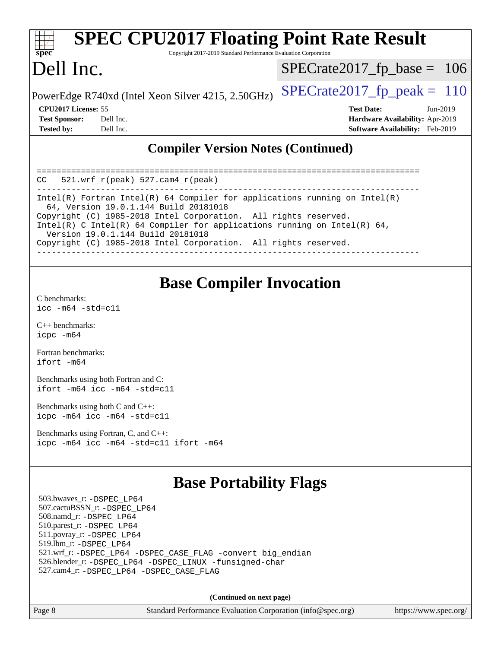| <b>SPEC CPU2017 Floating Point Rate Result</b><br>Spec<br>Copyright 2017-2019 Standard Performance Evaluation Corporation |           |                                                    |                   |                                 |  |
|---------------------------------------------------------------------------------------------------------------------------|-----------|----------------------------------------------------|-------------------|---------------------------------|--|
| Dell Inc.                                                                                                                 |           |                                                    |                   | $SPECrate2017_fp\_base = 106$   |  |
|                                                                                                                           |           | PowerEdge R740xd (Intel Xeon Silver 4215, 2.50GHz) |                   | $SPECrate2017_fp\_peak = 110$   |  |
| CPU2017 License: 55                                                                                                       |           |                                                    | <b>Test Date:</b> | Jun-2019                        |  |
| <b>Test Sponsor:</b>                                                                                                      | Dell Inc. |                                                    |                   | Hardware Availability: Apr-2019 |  |
| <b>Tested by:</b>                                                                                                         | Dell Inc. |                                                    |                   | Software Availability: Feb-2019 |  |
|                                                                                                                           |           | Compiler Version Notes (Continued)                 |                   |                                 |  |

#### **[Compiler Version Notes \(Continued\)](http://www.spec.org/auto/cpu2017/Docs/result-fields.html#CompilerVersionNotes)**

| 521.wrf $r(\text{peak})$ 527.cam4 $r(\text{peak})$<br>CC                                                                                                                         |  |  |  |  |  |
|----------------------------------------------------------------------------------------------------------------------------------------------------------------------------------|--|--|--|--|--|
| Intel(R) Fortran Intel(R) 64 Compiler for applications running on Intel(R)<br>64, Version 19.0.1.144 Build 20181018                                                              |  |  |  |  |  |
| Copyright (C) 1985-2018 Intel Corporation. All rights reserved.<br>Intel(R) C Intel(R) 64 Compiler for applications running on Intel(R) 64,<br>Version 19.0.1.144 Build 20181018 |  |  |  |  |  |
| Copyright (C) 1985-2018 Intel Corporation. All rights reserved.                                                                                                                  |  |  |  |  |  |

### **[Base Compiler Invocation](http://www.spec.org/auto/cpu2017/Docs/result-fields.html#BaseCompilerInvocation)**

[C benchmarks](http://www.spec.org/auto/cpu2017/Docs/result-fields.html#Cbenchmarks): [icc -m64 -std=c11](http://www.spec.org/cpu2017/results/res2019q3/cpu2017-20190624-15453.flags.html#user_CCbase_intel_icc_64bit_c11_33ee0cdaae7deeeab2a9725423ba97205ce30f63b9926c2519791662299b76a0318f32ddfffdc46587804de3178b4f9328c46fa7c2b0cd779d7a61945c91cd35)

[C++ benchmarks:](http://www.spec.org/auto/cpu2017/Docs/result-fields.html#CXXbenchmarks) [icpc -m64](http://www.spec.org/cpu2017/results/res2019q3/cpu2017-20190624-15453.flags.html#user_CXXbase_intel_icpc_64bit_4ecb2543ae3f1412ef961e0650ca070fec7b7afdcd6ed48761b84423119d1bf6bdf5cad15b44d48e7256388bc77273b966e5eb805aefd121eb22e9299b2ec9d9)

[Fortran benchmarks](http://www.spec.org/auto/cpu2017/Docs/result-fields.html#Fortranbenchmarks): [ifort -m64](http://www.spec.org/cpu2017/results/res2019q3/cpu2017-20190624-15453.flags.html#user_FCbase_intel_ifort_64bit_24f2bb282fbaeffd6157abe4f878425411749daecae9a33200eee2bee2fe76f3b89351d69a8130dd5949958ce389cf37ff59a95e7a40d588e8d3a57e0c3fd751)

[Benchmarks using both Fortran and C](http://www.spec.org/auto/cpu2017/Docs/result-fields.html#BenchmarksusingbothFortranandC): [ifort -m64](http://www.spec.org/cpu2017/results/res2019q3/cpu2017-20190624-15453.flags.html#user_CC_FCbase_intel_ifort_64bit_24f2bb282fbaeffd6157abe4f878425411749daecae9a33200eee2bee2fe76f3b89351d69a8130dd5949958ce389cf37ff59a95e7a40d588e8d3a57e0c3fd751) [icc -m64 -std=c11](http://www.spec.org/cpu2017/results/res2019q3/cpu2017-20190624-15453.flags.html#user_CC_FCbase_intel_icc_64bit_c11_33ee0cdaae7deeeab2a9725423ba97205ce30f63b9926c2519791662299b76a0318f32ddfffdc46587804de3178b4f9328c46fa7c2b0cd779d7a61945c91cd35)

[Benchmarks using both C and C++](http://www.spec.org/auto/cpu2017/Docs/result-fields.html#BenchmarksusingbothCandCXX): [icpc -m64](http://www.spec.org/cpu2017/results/res2019q3/cpu2017-20190624-15453.flags.html#user_CC_CXXbase_intel_icpc_64bit_4ecb2543ae3f1412ef961e0650ca070fec7b7afdcd6ed48761b84423119d1bf6bdf5cad15b44d48e7256388bc77273b966e5eb805aefd121eb22e9299b2ec9d9) [icc -m64 -std=c11](http://www.spec.org/cpu2017/results/res2019q3/cpu2017-20190624-15453.flags.html#user_CC_CXXbase_intel_icc_64bit_c11_33ee0cdaae7deeeab2a9725423ba97205ce30f63b9926c2519791662299b76a0318f32ddfffdc46587804de3178b4f9328c46fa7c2b0cd779d7a61945c91cd35)

[Benchmarks using Fortran, C, and C++:](http://www.spec.org/auto/cpu2017/Docs/result-fields.html#BenchmarksusingFortranCandCXX) [icpc -m64](http://www.spec.org/cpu2017/results/res2019q3/cpu2017-20190624-15453.flags.html#user_CC_CXX_FCbase_intel_icpc_64bit_4ecb2543ae3f1412ef961e0650ca070fec7b7afdcd6ed48761b84423119d1bf6bdf5cad15b44d48e7256388bc77273b966e5eb805aefd121eb22e9299b2ec9d9) [icc -m64 -std=c11](http://www.spec.org/cpu2017/results/res2019q3/cpu2017-20190624-15453.flags.html#user_CC_CXX_FCbase_intel_icc_64bit_c11_33ee0cdaae7deeeab2a9725423ba97205ce30f63b9926c2519791662299b76a0318f32ddfffdc46587804de3178b4f9328c46fa7c2b0cd779d7a61945c91cd35) [ifort -m64](http://www.spec.org/cpu2017/results/res2019q3/cpu2017-20190624-15453.flags.html#user_CC_CXX_FCbase_intel_ifort_64bit_24f2bb282fbaeffd6157abe4f878425411749daecae9a33200eee2bee2fe76f3b89351d69a8130dd5949958ce389cf37ff59a95e7a40d588e8d3a57e0c3fd751)

### **[Base Portability Flags](http://www.spec.org/auto/cpu2017/Docs/result-fields.html#BasePortabilityFlags)**

 503.bwaves\_r: [-DSPEC\\_LP64](http://www.spec.org/cpu2017/results/res2019q3/cpu2017-20190624-15453.flags.html#suite_basePORTABILITY503_bwaves_r_DSPEC_LP64) 507.cactuBSSN\_r: [-DSPEC\\_LP64](http://www.spec.org/cpu2017/results/res2019q3/cpu2017-20190624-15453.flags.html#suite_basePORTABILITY507_cactuBSSN_r_DSPEC_LP64) 508.namd\_r: [-DSPEC\\_LP64](http://www.spec.org/cpu2017/results/res2019q3/cpu2017-20190624-15453.flags.html#suite_basePORTABILITY508_namd_r_DSPEC_LP64) 510.parest\_r: [-DSPEC\\_LP64](http://www.spec.org/cpu2017/results/res2019q3/cpu2017-20190624-15453.flags.html#suite_basePORTABILITY510_parest_r_DSPEC_LP64) 511.povray\_r: [-DSPEC\\_LP64](http://www.spec.org/cpu2017/results/res2019q3/cpu2017-20190624-15453.flags.html#suite_basePORTABILITY511_povray_r_DSPEC_LP64) 519.lbm\_r: [-DSPEC\\_LP64](http://www.spec.org/cpu2017/results/res2019q3/cpu2017-20190624-15453.flags.html#suite_basePORTABILITY519_lbm_r_DSPEC_LP64) 521.wrf\_r: [-DSPEC\\_LP64](http://www.spec.org/cpu2017/results/res2019q3/cpu2017-20190624-15453.flags.html#suite_basePORTABILITY521_wrf_r_DSPEC_LP64) [-DSPEC\\_CASE\\_FLAG](http://www.spec.org/cpu2017/results/res2019q3/cpu2017-20190624-15453.flags.html#b521.wrf_r_baseCPORTABILITY_DSPEC_CASE_FLAG) [-convert big\\_endian](http://www.spec.org/cpu2017/results/res2019q3/cpu2017-20190624-15453.flags.html#user_baseFPORTABILITY521_wrf_r_convert_big_endian_c3194028bc08c63ac5d04de18c48ce6d347e4e562e8892b8bdbdc0214820426deb8554edfa529a3fb25a586e65a3d812c835984020483e7e73212c4d31a38223) 526.blender\_r: [-DSPEC\\_LP64](http://www.spec.org/cpu2017/results/res2019q3/cpu2017-20190624-15453.flags.html#suite_basePORTABILITY526_blender_r_DSPEC_LP64) [-DSPEC\\_LINUX](http://www.spec.org/cpu2017/results/res2019q3/cpu2017-20190624-15453.flags.html#b526.blender_r_baseCPORTABILITY_DSPEC_LINUX) [-funsigned-char](http://www.spec.org/cpu2017/results/res2019q3/cpu2017-20190624-15453.flags.html#user_baseCPORTABILITY526_blender_r_force_uchar_40c60f00ab013830e2dd6774aeded3ff59883ba5a1fc5fc14077f794d777847726e2a5858cbc7672e36e1b067e7e5c1d9a74f7176df07886a243d7cc18edfe67) 527.cam4\_r: [-DSPEC\\_LP64](http://www.spec.org/cpu2017/results/res2019q3/cpu2017-20190624-15453.flags.html#suite_basePORTABILITY527_cam4_r_DSPEC_LP64) [-DSPEC\\_CASE\\_FLAG](http://www.spec.org/cpu2017/results/res2019q3/cpu2017-20190624-15453.flags.html#b527.cam4_r_baseCPORTABILITY_DSPEC_CASE_FLAG)

**(Continued on next page)**

Page 8 Standard Performance Evaluation Corporation [\(info@spec.org\)](mailto:info@spec.org) <https://www.spec.org/>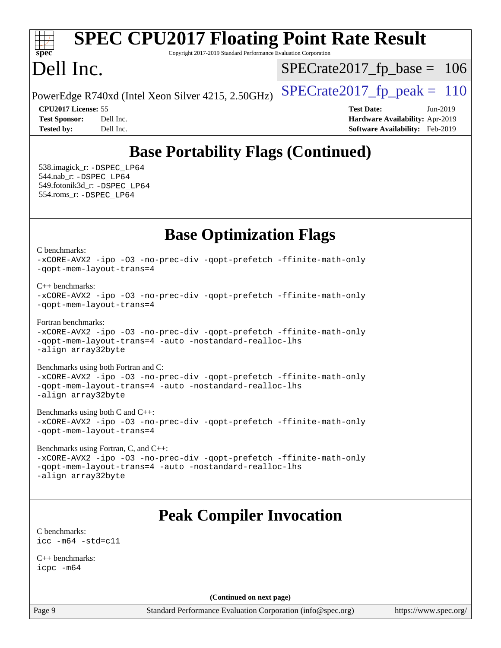#### **[spec](http://www.spec.org/) [SPEC CPU2017 Floating Point Rate Result](http://www.spec.org/auto/cpu2017/Docs/result-fields.html#SPECCPU2017FloatingPointRateResult)** Copyright 2017-2019 Standard Performance Evaluation Corporation Dell Inc. PowerEdge R740xd (Intel Xeon Silver 4215, 2.50GHz)  $\left|$  [SPECrate2017\\_fp\\_peak =](http://www.spec.org/auto/cpu2017/Docs/result-fields.html#SPECrate2017fppeak) 110  $SPECTate2017_fp\_base = 106$ **[CPU2017 License:](http://www.spec.org/auto/cpu2017/Docs/result-fields.html#CPU2017License)** 55 **[Test Date:](http://www.spec.org/auto/cpu2017/Docs/result-fields.html#TestDate)** Jun-2019 **[Test Sponsor:](http://www.spec.org/auto/cpu2017/Docs/result-fields.html#TestSponsor)** Dell Inc. **[Hardware Availability:](http://www.spec.org/auto/cpu2017/Docs/result-fields.html#HardwareAvailability)** Apr-2019

**[Tested by:](http://www.spec.org/auto/cpu2017/Docs/result-fields.html#Testedby)** Dell Inc. **[Software Availability:](http://www.spec.org/auto/cpu2017/Docs/result-fields.html#SoftwareAvailability)** Feb-2019

# **[Base Portability Flags \(Continued\)](http://www.spec.org/auto/cpu2017/Docs/result-fields.html#BasePortabilityFlags)**

 538.imagick\_r: [-DSPEC\\_LP64](http://www.spec.org/cpu2017/results/res2019q3/cpu2017-20190624-15453.flags.html#suite_basePORTABILITY538_imagick_r_DSPEC_LP64) 544.nab\_r: [-DSPEC\\_LP64](http://www.spec.org/cpu2017/results/res2019q3/cpu2017-20190624-15453.flags.html#suite_basePORTABILITY544_nab_r_DSPEC_LP64) 549.fotonik3d\_r: [-DSPEC\\_LP64](http://www.spec.org/cpu2017/results/res2019q3/cpu2017-20190624-15453.flags.html#suite_basePORTABILITY549_fotonik3d_r_DSPEC_LP64) 554.roms\_r: [-DSPEC\\_LP64](http://www.spec.org/cpu2017/results/res2019q3/cpu2017-20190624-15453.flags.html#suite_basePORTABILITY554_roms_r_DSPEC_LP64)

## **[Base Optimization Flags](http://www.spec.org/auto/cpu2017/Docs/result-fields.html#BaseOptimizationFlags)**

[C benchmarks](http://www.spec.org/auto/cpu2017/Docs/result-fields.html#Cbenchmarks):

[-xCORE-AVX2](http://www.spec.org/cpu2017/results/res2019q3/cpu2017-20190624-15453.flags.html#user_CCbase_f-xCORE-AVX2) [-ipo](http://www.spec.org/cpu2017/results/res2019q3/cpu2017-20190624-15453.flags.html#user_CCbase_f-ipo) [-O3](http://www.spec.org/cpu2017/results/res2019q3/cpu2017-20190624-15453.flags.html#user_CCbase_f-O3) [-no-prec-div](http://www.spec.org/cpu2017/results/res2019q3/cpu2017-20190624-15453.flags.html#user_CCbase_f-no-prec-div) [-qopt-prefetch](http://www.spec.org/cpu2017/results/res2019q3/cpu2017-20190624-15453.flags.html#user_CCbase_f-qopt-prefetch) [-ffinite-math-only](http://www.spec.org/cpu2017/results/res2019q3/cpu2017-20190624-15453.flags.html#user_CCbase_f_finite_math_only_cb91587bd2077682c4b38af759c288ed7c732db004271a9512da14a4f8007909a5f1427ecbf1a0fb78ff2a814402c6114ac565ca162485bbcae155b5e4258871) [-qopt-mem-layout-trans=4](http://www.spec.org/cpu2017/results/res2019q3/cpu2017-20190624-15453.flags.html#user_CCbase_f-qopt-mem-layout-trans_fa39e755916c150a61361b7846f310bcdf6f04e385ef281cadf3647acec3f0ae266d1a1d22d972a7087a248fd4e6ca390a3634700869573d231a252c784941a8) [C++ benchmarks:](http://www.spec.org/auto/cpu2017/Docs/result-fields.html#CXXbenchmarks)

```
-xCORE-AVX2 -ipo -O3 -no-prec-div -qopt-prefetch -ffinite-math-only
-qopt-mem-layout-trans=4
```
[Fortran benchmarks](http://www.spec.org/auto/cpu2017/Docs/result-fields.html#Fortranbenchmarks):

[-xCORE-AVX2](http://www.spec.org/cpu2017/results/res2019q3/cpu2017-20190624-15453.flags.html#user_FCbase_f-xCORE-AVX2) [-ipo](http://www.spec.org/cpu2017/results/res2019q3/cpu2017-20190624-15453.flags.html#user_FCbase_f-ipo) [-O3](http://www.spec.org/cpu2017/results/res2019q3/cpu2017-20190624-15453.flags.html#user_FCbase_f-O3) [-no-prec-div](http://www.spec.org/cpu2017/results/res2019q3/cpu2017-20190624-15453.flags.html#user_FCbase_f-no-prec-div) [-qopt-prefetch](http://www.spec.org/cpu2017/results/res2019q3/cpu2017-20190624-15453.flags.html#user_FCbase_f-qopt-prefetch) [-ffinite-math-only](http://www.spec.org/cpu2017/results/res2019q3/cpu2017-20190624-15453.flags.html#user_FCbase_f_finite_math_only_cb91587bd2077682c4b38af759c288ed7c732db004271a9512da14a4f8007909a5f1427ecbf1a0fb78ff2a814402c6114ac565ca162485bbcae155b5e4258871) [-qopt-mem-layout-trans=4](http://www.spec.org/cpu2017/results/res2019q3/cpu2017-20190624-15453.flags.html#user_FCbase_f-qopt-mem-layout-trans_fa39e755916c150a61361b7846f310bcdf6f04e385ef281cadf3647acec3f0ae266d1a1d22d972a7087a248fd4e6ca390a3634700869573d231a252c784941a8) [-auto](http://www.spec.org/cpu2017/results/res2019q3/cpu2017-20190624-15453.flags.html#user_FCbase_f-auto) [-nostandard-realloc-lhs](http://www.spec.org/cpu2017/results/res2019q3/cpu2017-20190624-15453.flags.html#user_FCbase_f_2003_std_realloc_82b4557e90729c0f113870c07e44d33d6f5a304b4f63d4c15d2d0f1fab99f5daaed73bdb9275d9ae411527f28b936061aa8b9c8f2d63842963b95c9dd6426b8a) [-align array32byte](http://www.spec.org/cpu2017/results/res2019q3/cpu2017-20190624-15453.flags.html#user_FCbase_align_array32byte_b982fe038af199962ba9a80c053b8342c548c85b40b8e86eb3cc33dee0d7986a4af373ac2d51c3f7cf710a18d62fdce2948f201cd044323541f22fc0fffc51b6)

[Benchmarks using both Fortran and C](http://www.spec.org/auto/cpu2017/Docs/result-fields.html#BenchmarksusingbothFortranandC): [-xCORE-AVX2](http://www.spec.org/cpu2017/results/res2019q3/cpu2017-20190624-15453.flags.html#user_CC_FCbase_f-xCORE-AVX2) [-ipo](http://www.spec.org/cpu2017/results/res2019q3/cpu2017-20190624-15453.flags.html#user_CC_FCbase_f-ipo) [-O3](http://www.spec.org/cpu2017/results/res2019q3/cpu2017-20190624-15453.flags.html#user_CC_FCbase_f-O3) [-no-prec-div](http://www.spec.org/cpu2017/results/res2019q3/cpu2017-20190624-15453.flags.html#user_CC_FCbase_f-no-prec-div) [-qopt-prefetch](http://www.spec.org/cpu2017/results/res2019q3/cpu2017-20190624-15453.flags.html#user_CC_FCbase_f-qopt-prefetch) [-ffinite-math-only](http://www.spec.org/cpu2017/results/res2019q3/cpu2017-20190624-15453.flags.html#user_CC_FCbase_f_finite_math_only_cb91587bd2077682c4b38af759c288ed7c732db004271a9512da14a4f8007909a5f1427ecbf1a0fb78ff2a814402c6114ac565ca162485bbcae155b5e4258871) [-qopt-mem-layout-trans=4](http://www.spec.org/cpu2017/results/res2019q3/cpu2017-20190624-15453.flags.html#user_CC_FCbase_f-qopt-mem-layout-trans_fa39e755916c150a61361b7846f310bcdf6f04e385ef281cadf3647acec3f0ae266d1a1d22d972a7087a248fd4e6ca390a3634700869573d231a252c784941a8) [-auto](http://www.spec.org/cpu2017/results/res2019q3/cpu2017-20190624-15453.flags.html#user_CC_FCbase_f-auto) [-nostandard-realloc-lhs](http://www.spec.org/cpu2017/results/res2019q3/cpu2017-20190624-15453.flags.html#user_CC_FCbase_f_2003_std_realloc_82b4557e90729c0f113870c07e44d33d6f5a304b4f63d4c15d2d0f1fab99f5daaed73bdb9275d9ae411527f28b936061aa8b9c8f2d63842963b95c9dd6426b8a) [-align array32byte](http://www.spec.org/cpu2017/results/res2019q3/cpu2017-20190624-15453.flags.html#user_CC_FCbase_align_array32byte_b982fe038af199962ba9a80c053b8342c548c85b40b8e86eb3cc33dee0d7986a4af373ac2d51c3f7cf710a18d62fdce2948f201cd044323541f22fc0fffc51b6)

[Benchmarks using both C and C++](http://www.spec.org/auto/cpu2017/Docs/result-fields.html#BenchmarksusingbothCandCXX): [-xCORE-AVX2](http://www.spec.org/cpu2017/results/res2019q3/cpu2017-20190624-15453.flags.html#user_CC_CXXbase_f-xCORE-AVX2) [-ipo](http://www.spec.org/cpu2017/results/res2019q3/cpu2017-20190624-15453.flags.html#user_CC_CXXbase_f-ipo) [-O3](http://www.spec.org/cpu2017/results/res2019q3/cpu2017-20190624-15453.flags.html#user_CC_CXXbase_f-O3) [-no-prec-div](http://www.spec.org/cpu2017/results/res2019q3/cpu2017-20190624-15453.flags.html#user_CC_CXXbase_f-no-prec-div) [-qopt-prefetch](http://www.spec.org/cpu2017/results/res2019q3/cpu2017-20190624-15453.flags.html#user_CC_CXXbase_f-qopt-prefetch) [-ffinite-math-only](http://www.spec.org/cpu2017/results/res2019q3/cpu2017-20190624-15453.flags.html#user_CC_CXXbase_f_finite_math_only_cb91587bd2077682c4b38af759c288ed7c732db004271a9512da14a4f8007909a5f1427ecbf1a0fb78ff2a814402c6114ac565ca162485bbcae155b5e4258871) [-qopt-mem-layout-trans=4](http://www.spec.org/cpu2017/results/res2019q3/cpu2017-20190624-15453.flags.html#user_CC_CXXbase_f-qopt-mem-layout-trans_fa39e755916c150a61361b7846f310bcdf6f04e385ef281cadf3647acec3f0ae266d1a1d22d972a7087a248fd4e6ca390a3634700869573d231a252c784941a8)

[Benchmarks using Fortran, C, and C++:](http://www.spec.org/auto/cpu2017/Docs/result-fields.html#BenchmarksusingFortranCandCXX) [-xCORE-AVX2](http://www.spec.org/cpu2017/results/res2019q3/cpu2017-20190624-15453.flags.html#user_CC_CXX_FCbase_f-xCORE-AVX2) [-ipo](http://www.spec.org/cpu2017/results/res2019q3/cpu2017-20190624-15453.flags.html#user_CC_CXX_FCbase_f-ipo) [-O3](http://www.spec.org/cpu2017/results/res2019q3/cpu2017-20190624-15453.flags.html#user_CC_CXX_FCbase_f-O3) [-no-prec-div](http://www.spec.org/cpu2017/results/res2019q3/cpu2017-20190624-15453.flags.html#user_CC_CXX_FCbase_f-no-prec-div) [-qopt-prefetch](http://www.spec.org/cpu2017/results/res2019q3/cpu2017-20190624-15453.flags.html#user_CC_CXX_FCbase_f-qopt-prefetch) [-ffinite-math-only](http://www.spec.org/cpu2017/results/res2019q3/cpu2017-20190624-15453.flags.html#user_CC_CXX_FCbase_f_finite_math_only_cb91587bd2077682c4b38af759c288ed7c732db004271a9512da14a4f8007909a5f1427ecbf1a0fb78ff2a814402c6114ac565ca162485bbcae155b5e4258871) [-qopt-mem-layout-trans=4](http://www.spec.org/cpu2017/results/res2019q3/cpu2017-20190624-15453.flags.html#user_CC_CXX_FCbase_f-qopt-mem-layout-trans_fa39e755916c150a61361b7846f310bcdf6f04e385ef281cadf3647acec3f0ae266d1a1d22d972a7087a248fd4e6ca390a3634700869573d231a252c784941a8) [-auto](http://www.spec.org/cpu2017/results/res2019q3/cpu2017-20190624-15453.flags.html#user_CC_CXX_FCbase_f-auto) [-nostandard-realloc-lhs](http://www.spec.org/cpu2017/results/res2019q3/cpu2017-20190624-15453.flags.html#user_CC_CXX_FCbase_f_2003_std_realloc_82b4557e90729c0f113870c07e44d33d6f5a304b4f63d4c15d2d0f1fab99f5daaed73bdb9275d9ae411527f28b936061aa8b9c8f2d63842963b95c9dd6426b8a) [-align array32byte](http://www.spec.org/cpu2017/results/res2019q3/cpu2017-20190624-15453.flags.html#user_CC_CXX_FCbase_align_array32byte_b982fe038af199962ba9a80c053b8342c548c85b40b8e86eb3cc33dee0d7986a4af373ac2d51c3f7cf710a18d62fdce2948f201cd044323541f22fc0fffc51b6)

# **[Peak Compiler Invocation](http://www.spec.org/auto/cpu2017/Docs/result-fields.html#PeakCompilerInvocation)**

[C benchmarks](http://www.spec.org/auto/cpu2017/Docs/result-fields.html#Cbenchmarks): [icc -m64 -std=c11](http://www.spec.org/cpu2017/results/res2019q3/cpu2017-20190624-15453.flags.html#user_CCpeak_intel_icc_64bit_c11_33ee0cdaae7deeeab2a9725423ba97205ce30f63b9926c2519791662299b76a0318f32ddfffdc46587804de3178b4f9328c46fa7c2b0cd779d7a61945c91cd35)

[C++ benchmarks:](http://www.spec.org/auto/cpu2017/Docs/result-fields.html#CXXbenchmarks) [icpc -m64](http://www.spec.org/cpu2017/results/res2019q3/cpu2017-20190624-15453.flags.html#user_CXXpeak_intel_icpc_64bit_4ecb2543ae3f1412ef961e0650ca070fec7b7afdcd6ed48761b84423119d1bf6bdf5cad15b44d48e7256388bc77273b966e5eb805aefd121eb22e9299b2ec9d9)

**(Continued on next page)**

Page 9 Standard Performance Evaluation Corporation [\(info@spec.org\)](mailto:info@spec.org) <https://www.spec.org/>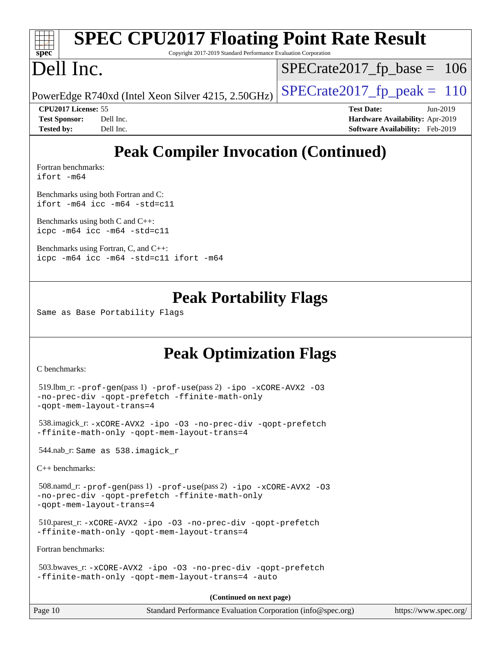|                                                                         | <b>SPEC CPU2017 Floating Point Rate Result</b>     |                                        |  |  |  |
|-------------------------------------------------------------------------|----------------------------------------------------|----------------------------------------|--|--|--|
| Spec<br>Copyright 2017-2019 Standard Performance Evaluation Corporation |                                                    |                                        |  |  |  |
| Dell Inc.                                                               |                                                    | $SPECrate2017_fp\_base = 106$          |  |  |  |
|                                                                         | PowerEdge R740xd (Intel Xeon Silver 4215, 2.50GHz) | $SPECrate2017_fp\_peak = 110$          |  |  |  |
| <b>CPU2017 License: 55</b>                                              |                                                    | <b>Test Date:</b><br>$Jun-2019$        |  |  |  |
| <b>Test Sponsor:</b>                                                    | Dell Inc.                                          | Hardware Availability: Apr-2019        |  |  |  |
| <b>Tested by:</b>                                                       | Dell Inc.                                          | <b>Software Availability:</b> Feb-2019 |  |  |  |
|                                                                         |                                                    |                                        |  |  |  |

# **[Peak Compiler Invocation \(Continued\)](http://www.spec.org/auto/cpu2017/Docs/result-fields.html#PeakCompilerInvocation)**

[Fortran benchmarks](http://www.spec.org/auto/cpu2017/Docs/result-fields.html#Fortranbenchmarks): [ifort -m64](http://www.spec.org/cpu2017/results/res2019q3/cpu2017-20190624-15453.flags.html#user_FCpeak_intel_ifort_64bit_24f2bb282fbaeffd6157abe4f878425411749daecae9a33200eee2bee2fe76f3b89351d69a8130dd5949958ce389cf37ff59a95e7a40d588e8d3a57e0c3fd751)

[Benchmarks using both Fortran and C](http://www.spec.org/auto/cpu2017/Docs/result-fields.html#BenchmarksusingbothFortranandC): [ifort -m64](http://www.spec.org/cpu2017/results/res2019q3/cpu2017-20190624-15453.flags.html#user_CC_FCpeak_intel_ifort_64bit_24f2bb282fbaeffd6157abe4f878425411749daecae9a33200eee2bee2fe76f3b89351d69a8130dd5949958ce389cf37ff59a95e7a40d588e8d3a57e0c3fd751) [icc -m64 -std=c11](http://www.spec.org/cpu2017/results/res2019q3/cpu2017-20190624-15453.flags.html#user_CC_FCpeak_intel_icc_64bit_c11_33ee0cdaae7deeeab2a9725423ba97205ce30f63b9926c2519791662299b76a0318f32ddfffdc46587804de3178b4f9328c46fa7c2b0cd779d7a61945c91cd35)

[Benchmarks using both C and C++](http://www.spec.org/auto/cpu2017/Docs/result-fields.html#BenchmarksusingbothCandCXX): [icpc -m64](http://www.spec.org/cpu2017/results/res2019q3/cpu2017-20190624-15453.flags.html#user_CC_CXXpeak_intel_icpc_64bit_4ecb2543ae3f1412ef961e0650ca070fec7b7afdcd6ed48761b84423119d1bf6bdf5cad15b44d48e7256388bc77273b966e5eb805aefd121eb22e9299b2ec9d9) [icc -m64 -std=c11](http://www.spec.org/cpu2017/results/res2019q3/cpu2017-20190624-15453.flags.html#user_CC_CXXpeak_intel_icc_64bit_c11_33ee0cdaae7deeeab2a9725423ba97205ce30f63b9926c2519791662299b76a0318f32ddfffdc46587804de3178b4f9328c46fa7c2b0cd779d7a61945c91cd35)

[Benchmarks using Fortran, C, and C++:](http://www.spec.org/auto/cpu2017/Docs/result-fields.html#BenchmarksusingFortranCandCXX) [icpc -m64](http://www.spec.org/cpu2017/results/res2019q3/cpu2017-20190624-15453.flags.html#user_CC_CXX_FCpeak_intel_icpc_64bit_4ecb2543ae3f1412ef961e0650ca070fec7b7afdcd6ed48761b84423119d1bf6bdf5cad15b44d48e7256388bc77273b966e5eb805aefd121eb22e9299b2ec9d9) [icc -m64 -std=c11](http://www.spec.org/cpu2017/results/res2019q3/cpu2017-20190624-15453.flags.html#user_CC_CXX_FCpeak_intel_icc_64bit_c11_33ee0cdaae7deeeab2a9725423ba97205ce30f63b9926c2519791662299b76a0318f32ddfffdc46587804de3178b4f9328c46fa7c2b0cd779d7a61945c91cd35) [ifort -m64](http://www.spec.org/cpu2017/results/res2019q3/cpu2017-20190624-15453.flags.html#user_CC_CXX_FCpeak_intel_ifort_64bit_24f2bb282fbaeffd6157abe4f878425411749daecae9a33200eee2bee2fe76f3b89351d69a8130dd5949958ce389cf37ff59a95e7a40d588e8d3a57e0c3fd751)

### **[Peak Portability Flags](http://www.spec.org/auto/cpu2017/Docs/result-fields.html#PeakPortabilityFlags)**

Same as Base Portability Flags

## **[Peak Optimization Flags](http://www.spec.org/auto/cpu2017/Docs/result-fields.html#PeakOptimizationFlags)**

[C benchmarks](http://www.spec.org/auto/cpu2017/Docs/result-fields.html#Cbenchmarks):

```
 519.lbm_r: -prof-gen(pass 1) -prof-use(pass 2) -ipo -xCORE-AVX2 -O3
-no-prec-div -qopt-prefetch -ffinite-math-only
-qopt-mem-layout-trans=4
```

```
 538.imagick_r: -xCORE-AVX2 -ipo -O3 -no-prec-div -qopt-prefetch
-ffinite-math-only -qopt-mem-layout-trans=4
```
544.nab\_r: Same as 538.imagick\_r

[C++ benchmarks:](http://www.spec.org/auto/cpu2017/Docs/result-fields.html#CXXbenchmarks)

```
 508.namd_r: -prof-gen(pass 1) -prof-use(pass 2) -ipo -xCORE-AVX2 -O3
-no-prec-div -qopt-prefetch -ffinite-math-only
-qopt-mem-layout-trans=4
```

```
 510.parest_r: -xCORE-AVX2 -ipo -O3 -no-prec-div -qopt-prefetch
-ffinite-math-only -qopt-mem-layout-trans=4
```
[Fortran benchmarks](http://www.spec.org/auto/cpu2017/Docs/result-fields.html#Fortranbenchmarks):

```
 503.bwaves_r: -xCORE-AVX2 -ipo -O3 -no-prec-div -qopt-prefetch
-ffinite-math-only -qopt-mem-layout-trans=4 -auto
```
**(Continued on next page)**